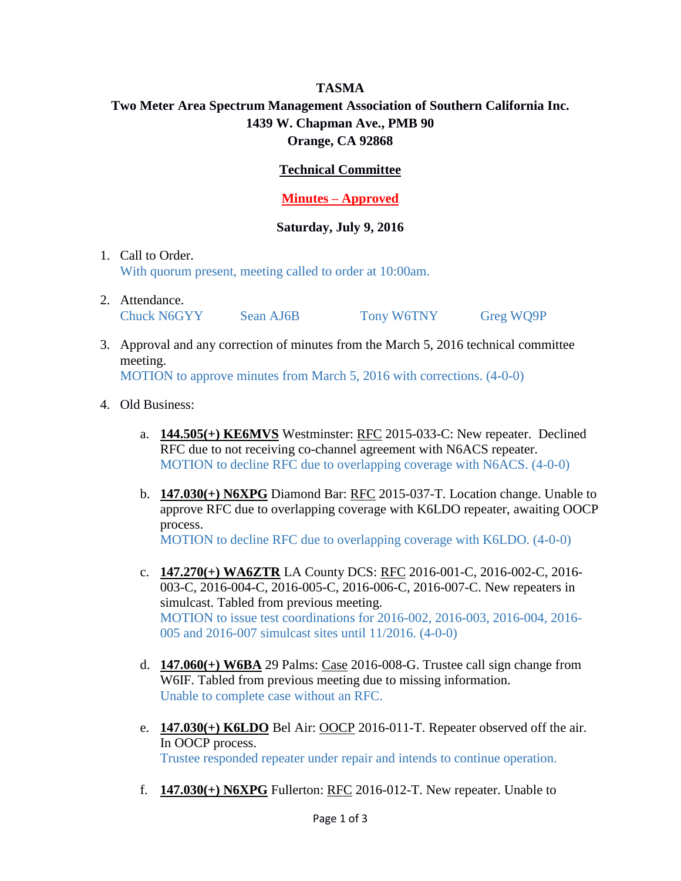## **TASMA Two Meter Area Spectrum Management Association of Southern California Inc. 1439 W. Chapman Ave., PMB 90 Orange, CA 92868**

## **Technical Committee**

## **Minutes – Approved**

## **Saturday, July 9, 2016**

- 1. Call to Order. With quorum present, meeting called to order at 10:00am.
- 2. Attendance. Chuck N6GYY Sean AJ6B Tony W6TNY Greg WQ9P
- 3. Approval and any correction of minutes from the March 5, 2016 technical committee meeting.

MOTION to approve minutes from March 5, 2016 with corrections. (4-0-0)

- 4. Old Business:
	- a. **144.505(+) KE6MVS** Westminster: RFC 2015-033-C: New repeater. Declined RFC due to not receiving co-channel agreement with N6ACS repeater. MOTION to decline RFC due to overlapping coverage with N6ACS. (4-0-0)
	- b. **147.030(+) N6XPG** Diamond Bar: RFC 2015-037-T. Location change. Unable to approve RFC due to overlapping coverage with K6LDO repeater, awaiting OOCP process. MOTION to decline RFC due to overlapping coverage with K6LDO. (4-0-0)
	- c. **147.270(+) WA6ZTR** LA County DCS: RFC 2016-001-C, 2016-002-C, 2016- 003-C, 2016-004-C, 2016-005-C, 2016-006-C, 2016-007-C. New repeaters in simulcast. Tabled from previous meeting. MOTION to issue test coordinations for 2016-002, 2016-003, 2016-004, 2016- 005 and 2016-007 simulcast sites until 11/2016. (4-0-0)
	- d. **147.060(+) W6BA** 29 Palms: Case 2016-008-G. Trustee call sign change from W6IF. Tabled from previous meeting due to missing information. Unable to complete case without an RFC.
	- e. **147.030(+) K6LDO** Bel Air: OOCP 2016-011-T. Repeater observed off the air. In OOCP process. Trustee responded repeater under repair and intends to continue operation.
	- f. **147.030(+) N6XPG** Fullerton: RFC 2016-012-T. New repeater. Unable to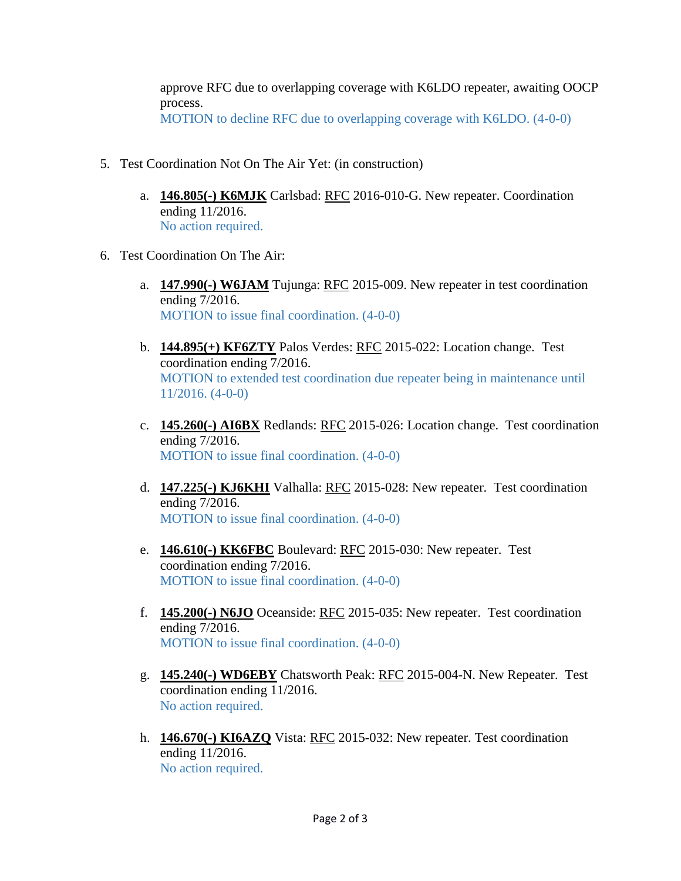approve RFC due to overlapping coverage with K6LDO repeater, awaiting OOCP process. MOTION to decline RFC due to overlapping coverage with K6LDO. (4-0-0)

- 5. Test Coordination Not On The Air Yet: (in construction)
	- a. **146.805(-) K6MJK** Carlsbad: RFC 2016-010-G. New repeater. Coordination ending 11/2016. No action required.
- 6. Test Coordination On The Air:
	- a. **147.990(-) W6JAM** Tujunga: RFC 2015-009. New repeater in test coordination ending 7/2016. MOTION to issue final coordination. (4-0-0)
	- b. **144.895(+) KF6ZTY** Palos Verdes: RFC 2015-022: Location change. Test coordination ending 7/2016. MOTION to extended test coordination due repeater being in maintenance until 11/2016. (4-0-0)
	- c. **145.260(-) AI6BX** Redlands: RFC 2015-026: Location change. Test coordination ending 7/2016. MOTION to issue final coordination. (4-0-0)
	- d. **147.225(-) KJ6KHI** Valhalla: RFC 2015-028: New repeater. Test coordination ending 7/2016. MOTION to issue final coordination. (4-0-0)
	- e. **146.610(-) KK6FBC** Boulevard: RFC 2015-030: New repeater. Test coordination ending 7/2016. MOTION to issue final coordination. (4-0-0)
	- f. **145.200(-) N6JO** Oceanside: RFC 2015-035: New repeater. Test coordination ending 7/2016. MOTION to issue final coordination. (4-0-0)
	- g. **145.240(-) WD6EBY** Chatsworth Peak: RFC 2015-004-N. New Repeater. Test coordination ending 11/2016. No action required.
	- h. **146.670(-) KI6AZQ** Vista: RFC 2015-032: New repeater. Test coordination ending 11/2016. No action required.